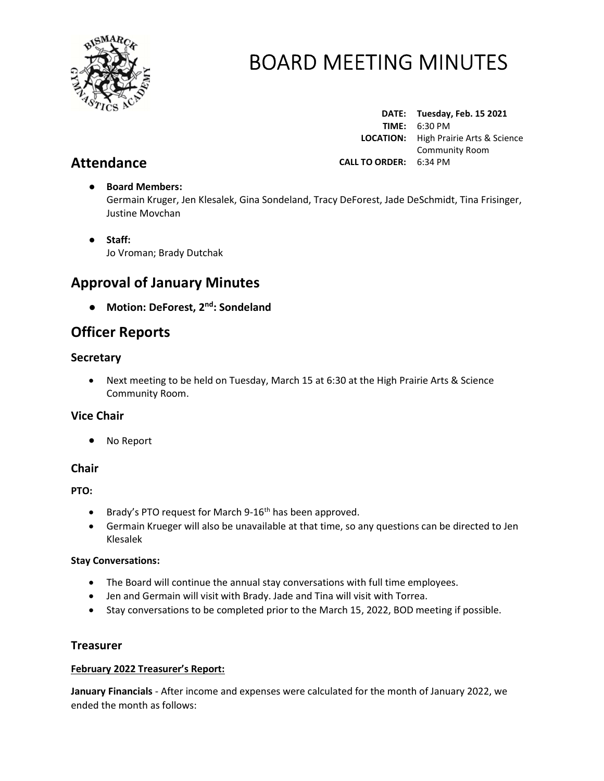

Attendance

# BOARD MEETING MINUTES

DATE: Tuesday, Feb. 15 2021 TIME: 6:30 PM LOCATION: High Prairie Arts & Science Community Room CALL TO ORDER: 6:34 PM

# ● Board Members: Germain Kruger, Jen Klesalek, Gina Sondeland, Tracy DeForest, Jade DeSchmidt, Tina Frisinger, Justine Movchan

● Staff: Jo Vroman; Brady Dutchak

# Approval of January Minutes

● Motion: DeForest, 2<sup>nd</sup>: Sondeland

# Officer Reports

# **Secretary**

 Next meeting to be held on Tuesday, March 15 at 6:30 at the High Prairie Arts & Science Community Room.

# Vice Chair

No Report

# **Chair**

PTO:

- **•** Brady's PTO request for March 9-16<sup>th</sup> has been approved.
- Germain Krueger will also be unavailable at that time, so any questions can be directed to Jen Klesalek

# Stay Conversations:

- The Board will continue the annual stay conversations with full time employees.
- Jen and Germain will visit with Brady. Jade and Tina will visit with Torrea.
- Stay conversations to be completed prior to the March 15, 2022, BOD meeting if possible.

# **Treasurer**

# February 2022 Treasurer's Report:

January Financials - After income and expenses were calculated for the month of January 2022, we ended the month as follows: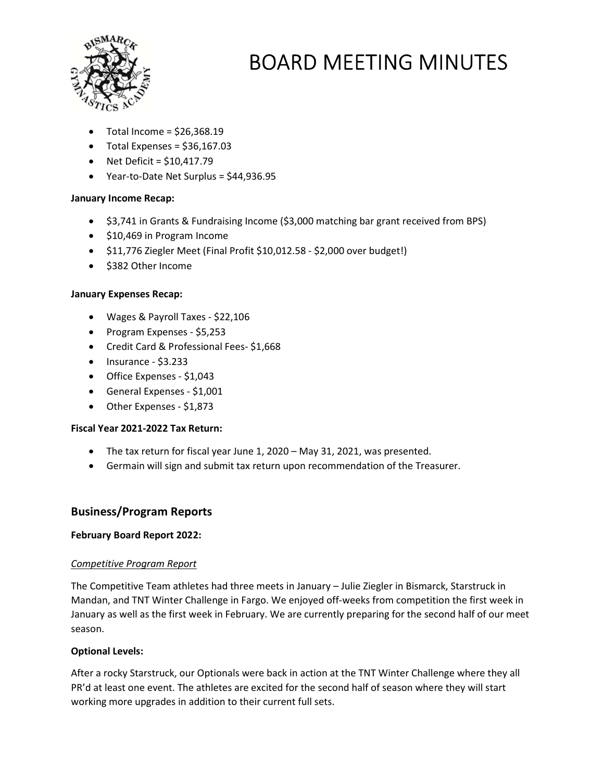

- Total Income = \$26,368.19
- $\bullet$  Total Expenses = \$36,167.03
- $\bullet$  Net Deficit = \$10,417.79
- Year-to-Date Net Surplus = \$44,936.95

### January Income Recap:

- \$3,741 in Grants & Fundraising Income (\$3,000 matching bar grant received from BPS)
- $\bullet$  \$10,469 in Program Income
- $\bullet$  \$11,776 Ziegler Meet (Final Profit \$10,012.58 \$2,000 over budget!)
- \$382 Other Income

#### January Expenses Recap:

- Wages & Payroll Taxes \$22,106
- Program Expenses \$5,253
- Credit Card & Professional Fees- \$1,668
- $\bullet$  Insurance \$3.233
- Office Expenses \$1,043
- General Expenses \$1,001
- Other Expenses \$1,873

#### Fiscal Year 2021-2022 Tax Return:

- The tax return for fiscal year June 1, 2020 May 31, 2021, was presented.
- Germain will sign and submit tax return upon recommendation of the Treasurer.

# Business/Program Reports

#### February Board Report 2022:

#### Competitive Program Report

The Competitive Team athletes had three meets in January – Julie Ziegler in Bismarck, Starstruck in Mandan, and TNT Winter Challenge in Fargo. We enjoyed off-weeks from competition the first week in January as well as the first week in February. We are currently preparing for the second half of our meet season.

#### Optional Levels:

After a rocky Starstruck, our Optionals were back in action at the TNT Winter Challenge where they all PR'd at least one event. The athletes are excited for the second half of season where they will start working more upgrades in addition to their current full sets.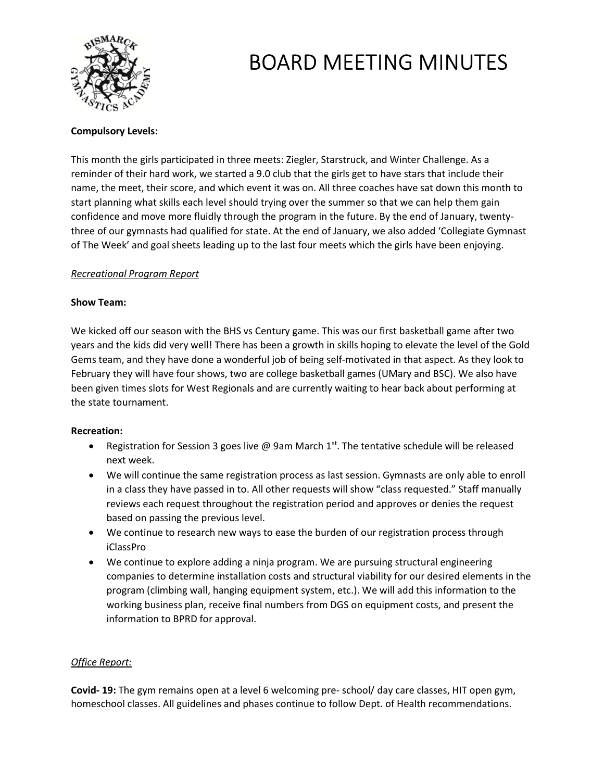

### Compulsory Levels:

This month the girls participated in three meets: Ziegler, Starstruck, and Winter Challenge. As a reminder of their hard work, we started a 9.0 club that the girls get to have stars that include their name, the meet, their score, and which event it was on. All three coaches have sat down this month to start planning what skills each level should trying over the summer so that we can help them gain confidence and move more fluidly through the program in the future. By the end of January, twentythree of our gymnasts had qualified for state. At the end of January, we also added 'Collegiate Gymnast of The Week' and goal sheets leading up to the last four meets which the girls have been enjoying.

### Recreational Program Report

#### Show Team:

We kicked off our season with the BHS vs Century game. This was our first basketball game after two years and the kids did very well! There has been a growth in skills hoping to elevate the level of the Gold Gems team, and they have done a wonderful job of being self-motivated in that aspect. As they look to February they will have four shows, two are college basketball games (UMary and BSC). We also have been given times slots for West Regionals and are currently waiting to hear back about performing at the state tournament.

#### Recreation:

- Registration for Session 3 goes live @ 9am March  $1<sup>st</sup>$ . The tentative schedule will be released next week.
- We will continue the same registration process as last session. Gymnasts are only able to enroll in a class they have passed in to. All other requests will show "class requested." Staff manually reviews each request throughout the registration period and approves or denies the request based on passing the previous level.
- We continue to research new ways to ease the burden of our registration process through iClassPro
- We continue to explore adding a ninja program. We are pursuing structural engineering companies to determine installation costs and structural viability for our desired elements in the program (climbing wall, hanging equipment system, etc.). We will add this information to the working business plan, receive final numbers from DGS on equipment costs, and present the information to BPRD for approval.

#### Office Report:

Covid- 19: The gym remains open at a level 6 welcoming pre- school/ day care classes, HIT open gym, homeschool classes. All guidelines and phases continue to follow Dept. of Health recommendations.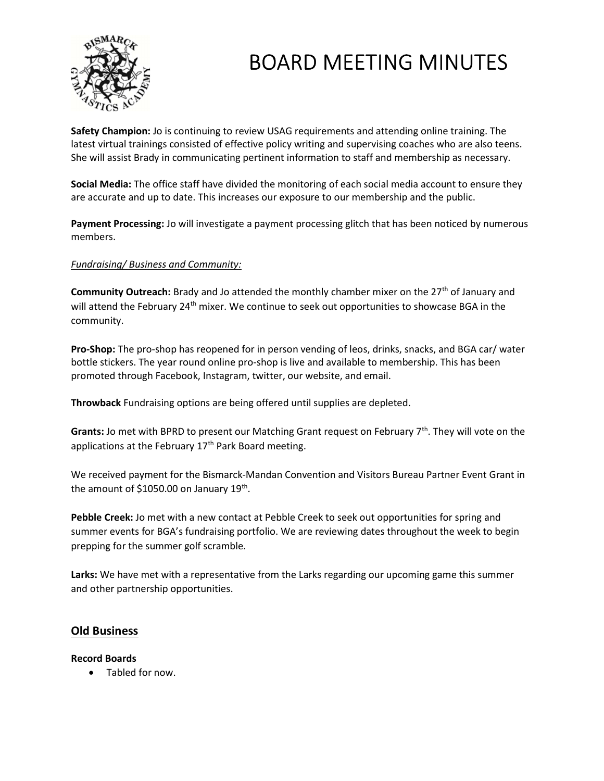

Safety Champion: Jo is continuing to review USAG requirements and attending online training. The latest virtual trainings consisted of effective policy writing and supervising coaches who are also teens. She will assist Brady in communicating pertinent information to staff and membership as necessary.

Social Media: The office staff have divided the monitoring of each social media account to ensure they are accurate and up to date. This increases our exposure to our membership and the public.

Payment Processing: Jo will investigate a payment processing glitch that has been noticed by numerous members.

# Fundraising/ Business and Community:

Community Outreach: Brady and Jo attended the monthly chamber mixer on the 27<sup>th</sup> of January and will attend the February 24<sup>th</sup> mixer. We continue to seek out opportunities to showcase BGA in the community.

Pro-Shop: The pro-shop has reopened for in person vending of leos, drinks, snacks, and BGA car/ water bottle stickers. The year round online pro-shop is live and available to membership. This has been promoted through Facebook, Instagram, twitter, our website, and email.

Throwback Fundraising options are being offered until supplies are depleted.

**Grants:** Jo met with BPRD to present our Matching Grant request on February  $7<sup>th</sup>$ . They will vote on the applications at the February  $17<sup>th</sup>$  Park Board meeting.

We received payment for the Bismarck-Mandan Convention and Visitors Bureau Partner Event Grant in the amount of \$1050.00 on January 19<sup>th</sup>.

Pebble Creek: Jo met with a new contact at Pebble Creek to seek out opportunities for spring and summer events for BGA's fundraising portfolio. We are reviewing dates throughout the week to begin prepping for the summer golf scramble.

Larks: We have met with a representative from the Larks regarding our upcoming game this summer and other partnership opportunities.

# Old Business

#### Record Boards

Tabled for now.